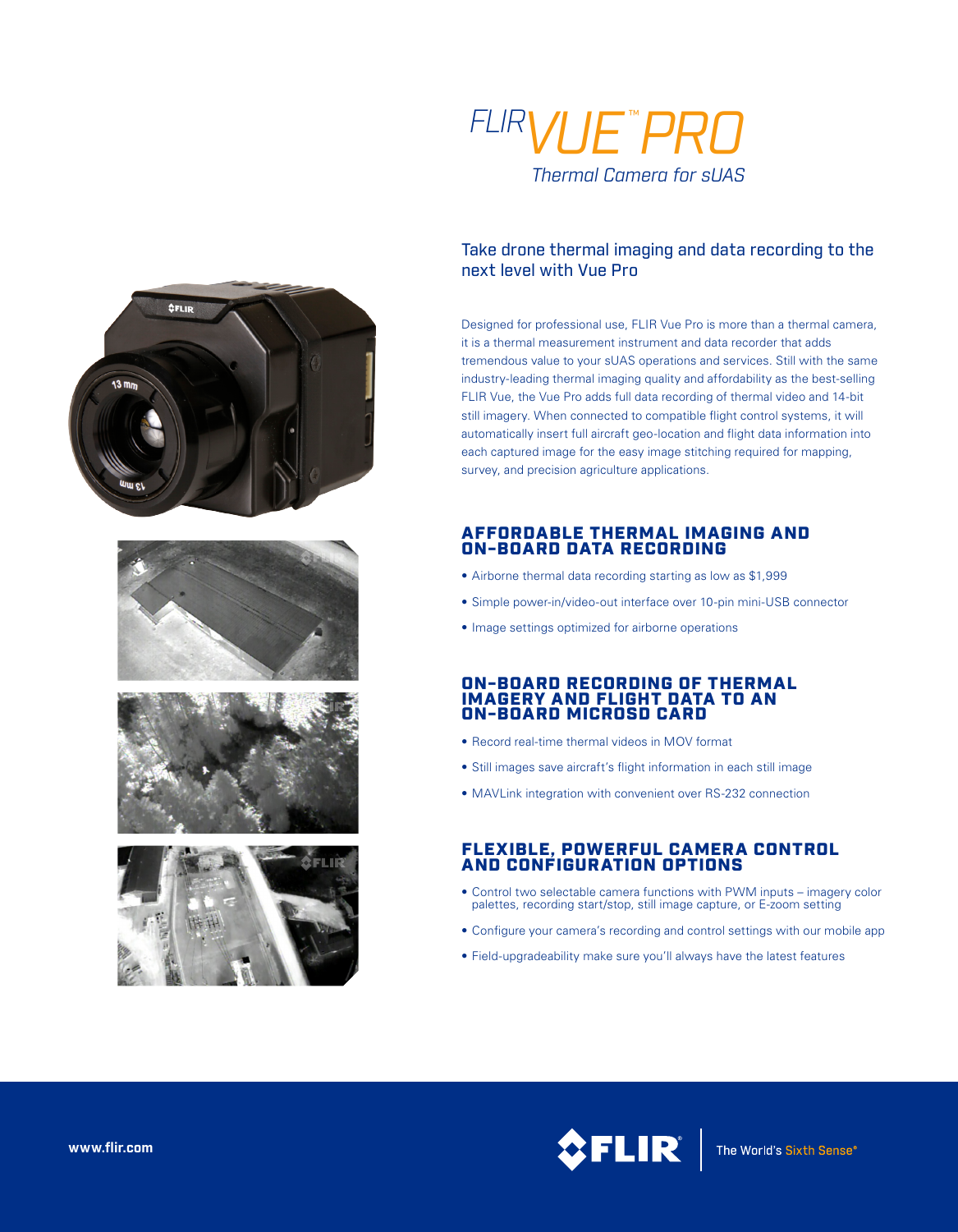

#### Take drone thermal imaging and data recording to the next level with Vue Pro

Designed for professional use, FLIR Vue Pro is more than a thermal camera, it is a thermal measurement instrument and data recorder that adds tremendous value to your sUAS operations and services. Still with the same industry-leading thermal imaging quality and affordability as the best-selling FLIR Vue, the Vue Pro adds full data recording of thermal video and 14-bit still imagery. When connected to compatible flight control systems, it will automatically insert full aircraft geo-location and flight data information into each captured image for the easy image stitching required for mapping, survey, and precision agriculture applications.

## AFFORDABLE THERMAL IMAGING AND ON-BOARD DATA RECORDING

- Airborne thermal data recording starting as low as \$1,999
- Simple power-in/video-out interface over 10-pin mini-USB connector
- Image settings optimized for airborne operations

### ON-BOARD RECORDING OF THERMAL IMAGERY AND FLIGHT DATA TO AN<br>ON-BOARD MICROSD CARD

- Record real-time thermal videos in MOV format
- Still images save aircraft's flight information in each still image
- MAVLink integration with convenient over RS-232 connection

# FLEXIBLE, POWERFUL CAMERA CONTROL AND CONFIGURATION OPTIONS

- Control two selectable camera functions with PWM inputs imagery color palettes, recording start/stop, still image capture, or E-zoom setting
- Configure your camera's recording and control settings with our mobile app
- Field-upgradeability make sure you'll always have the latest features